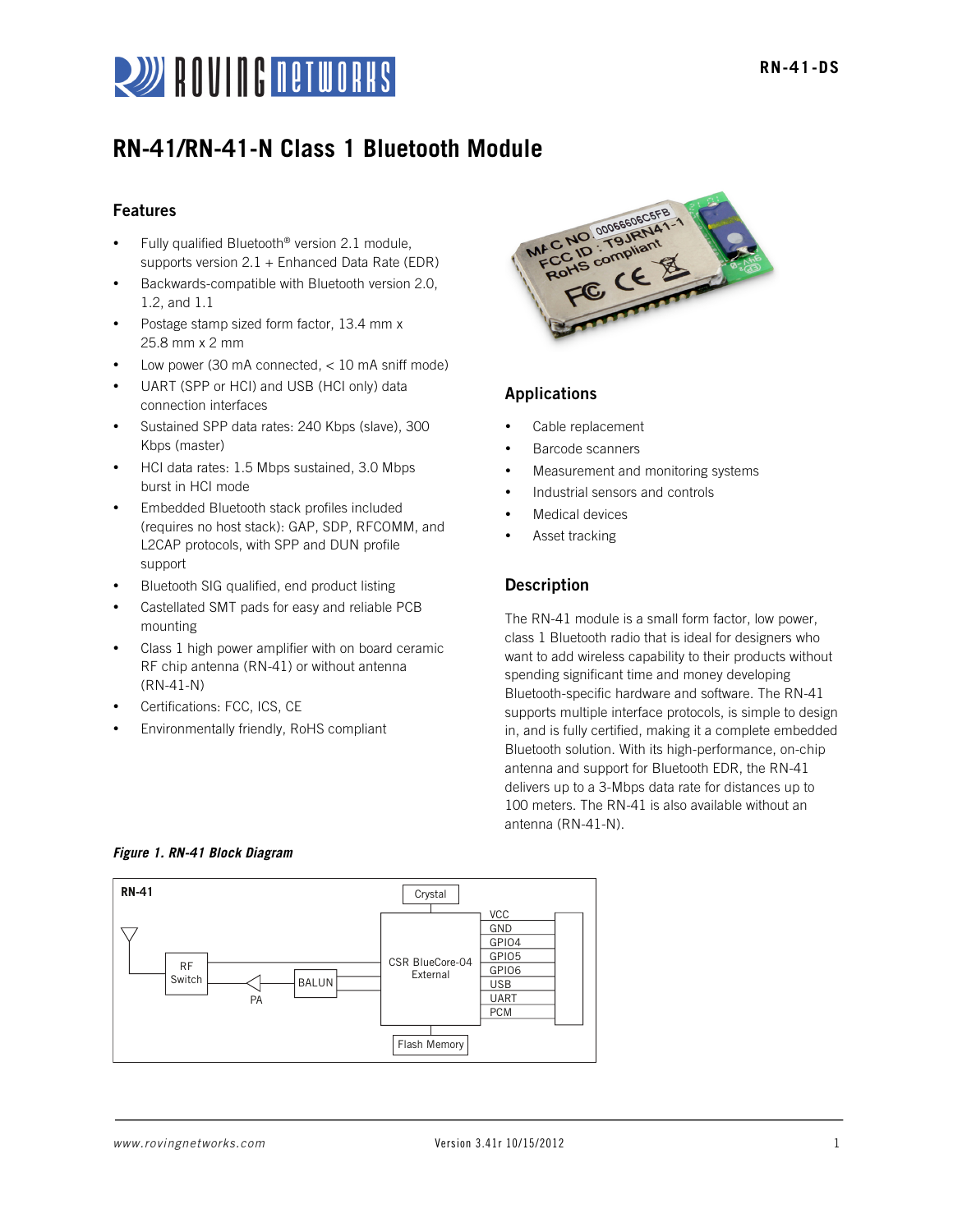

# **RN-41/RN-41-N Class 1 Bluetooth Module**

# Features

- Fully qualified Bluetooth® version 2.1 module, supports version  $2.1 +$  Enhanced Data Rate (EDR)
- Backwards-compatible with Bluetooth version 2.0, 1.2, and 1.1
- Postage stamp sized form factor, 13.4 mm x 25.8 mm x 2 mm
- Low power (30 mA connected,  $<$  10 mA sniff mode)
- UART (SPP or HCI) and USB (HCI only) data connection interfaces
- Sustained SPP data rates: 240 Kbps (slave), 300 Kbps (master)
- HCI data rates: 1.5 Mbps sustained, 3.0 Mbps burst in HCI mode
- Embedded Bluetooth stack profiles included (requires no host stack): GAP, SDP, RFCOMM, and L2CAP protocols, with SPP and DUN profile support
- Bluetooth SIG qualified, end product listing
- Castellated SMT pads for easy and reliable PCB mounting
- Class 1 high power amplifier with on board ceramic RF chip antenna (RN-41) or without antenna (RN-41-N)
- Certifications: FCC, ICS, CE
- Environmentally friendly, RoHS compliant



# Applications

- Cable replacement
- Barcode scanners
- Measurement and monitoring systems
- Industrial sensors and controls
- Medical devices
- Asset tracking

# Description

The RN-41 module is a small form factor, low power, class 1 Bluetooth radio that is ideal for designers who want to add wireless capability to their products without spending significant time and money developing Bluetooth-specific hardware and software. The RN-41 supports multiple interface protocols, is simple to design in, and is fully certified, making it a complete embedded Bluetooth solution. With its high-performance, on-chip antenna and support for Bluetooth EDR, the RN-41 delivers up to a 3-Mbps data rate for distances up to 100 meters. The RN-41 is also available without an antenna (RN-41-N).



# *Figure 1. RN-41 Block Diagram*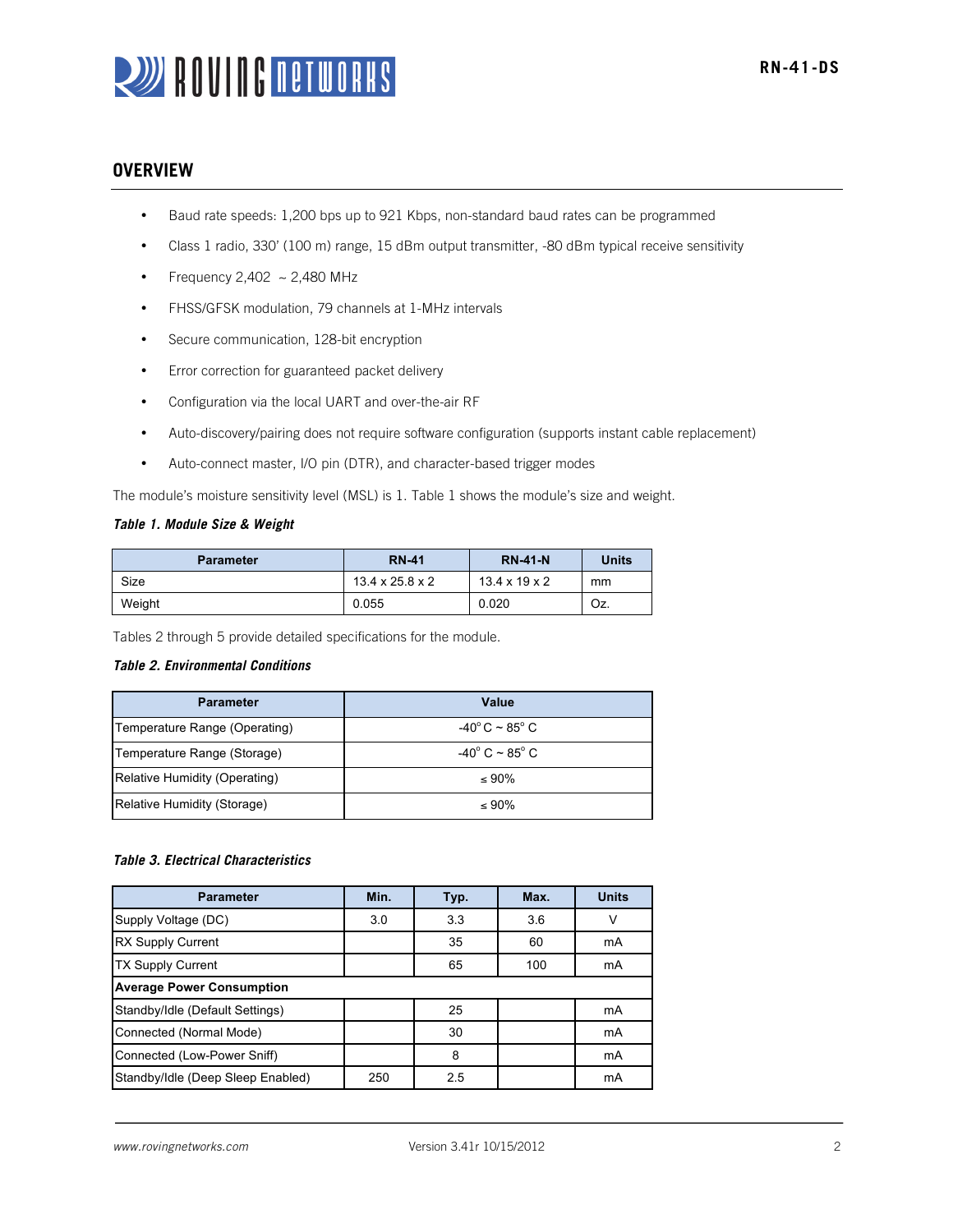# **OVERVIEW**

- Baud rate speeds: 1,200 bps up to 921 Kbps, non-standard baud rates can be programmed
- Class 1 radio, 330' (100 m) range, 15 dBm output transmitter, -80 dBm typical receive sensitivity
- Frequency  $2,402 \sim 2,480$  MHz
- FHSS/GFSK modulation, 79 channels at 1-MHz intervals
- Secure communication, 128-bit encryption
- Error correction for guaranteed packet delivery
- Configuration via the local UART and over-the-air RF
- Auto-discovery/pairing does not require software configuration (supports instant cable replacement)
- Auto-connect master, I/O pin (DTR), and character-based trigger modes

The module's moisture sensitivity level (MSL) is 1. Table 1 shows the module's size and weight.

#### *Table 1. Module Size & Weight*

| <b>Parameter</b> | <b>RN-41</b>                | <b>RN-41-N</b>            | <b>Units</b> |
|------------------|-----------------------------|---------------------------|--------------|
| Size             | $13.4 \times 25.8 \times 2$ | $13.4 \times 19 \times 2$ | mm           |
| Weight           | 0.055                       | 0.020                     | Oz.          |

Tables 2 through 5 provide detailed specifications for the module.

#### *Table 2. Environmental Conditions*

| <b>Parameter</b>              | Value                                  |
|-------------------------------|----------------------------------------|
| Temperature Range (Operating) | $-40^{\circ}$ C $\sim$ 85 $^{\circ}$ C |
| Temperature Range (Storage)   | $-40^{\circ}$ C ~ 85 $^{\circ}$ C      |
| Relative Humidity (Operating) | $\leq 90\%$                            |
| Relative Humidity (Storage)   | $\leq 90\%$                            |

#### *Table 3. Electrical Characteristics*

| <b>Parameter</b>                  | Min. | Typ. | Max. | <b>Units</b> |
|-----------------------------------|------|------|------|--------------|
| Supply Voltage (DC)               | 3.0  | 3.3  | 3.6  | v            |
| <b>RX Supply Current</b>          |      | 35   | 60   | mA           |
| <b>TX Supply Current</b>          |      | 65   | 100  | mA           |
| <b>Average Power Consumption</b>  |      |      |      |              |
| Standby/Idle (Default Settings)   |      | 25   |      | mA           |
| Connected (Normal Mode)           |      | 30   |      | mA           |
| Connected (Low-Power Sniff)       |      | 8    |      | mA           |
| Standby/Idle (Deep Sleep Enabled) | 250  | 2.5  |      | mA           |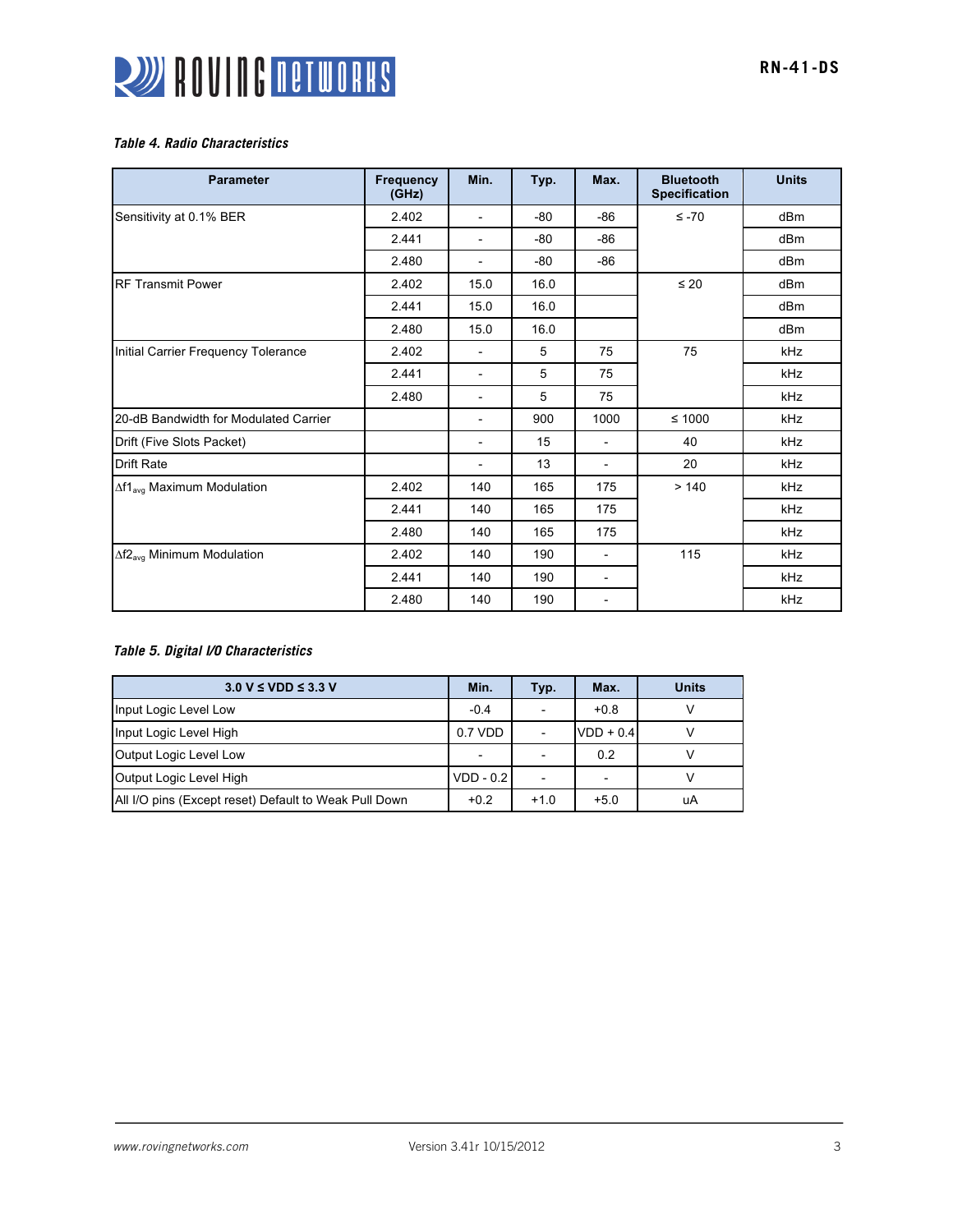

#### *Table 4. Radio Characteristics*

| <b>Parameter</b>                            | <b>Frequency</b><br>(GHz) | Min.                     | Typ. | Max.                     | <b>Bluetooth</b><br><b>Specification</b> | <b>Units</b>    |
|---------------------------------------------|---------------------------|--------------------------|------|--------------------------|------------------------------------------|-----------------|
| Sensitivity at 0.1% BER                     | 2.402                     | $\overline{\phantom{a}}$ | -80  | $-86$                    | $\leq -70$                               | dB <sub>m</sub> |
|                                             | 2.441                     | $\overline{\phantom{a}}$ | -80  | -86                      |                                          | dBm             |
|                                             | 2.480                     | $\overline{\phantom{a}}$ | -80  | $-86$                    |                                          | dBm             |
| <b>IRF Transmit Power</b>                   | 2.402                     | 15.0                     | 16.0 |                          | $\leq 20$                                | dBm             |
|                                             | 2.441                     | 15.0                     | 16.0 |                          |                                          | dBm             |
|                                             | 2.480                     | 15.0                     | 16.0 |                          |                                          | dBm             |
| Initial Carrier Frequency Tolerance         | 2.402                     |                          | 5    | 75                       | 75                                       | kHz             |
|                                             | 2.441                     | $\overline{\phantom{a}}$ | 5    | 75                       |                                          | kHz             |
|                                             | 2.480                     | $\overline{\phantom{a}}$ | 5    | 75                       |                                          | kHz             |
| 20-dB Bandwidth for Modulated Carrier       |                           | $\overline{\phantom{a}}$ | 900  | 1000                     | $≤ 1000$                                 | kHz             |
| Drift (Five Slots Packet)                   |                           | $\overline{\phantom{a}}$ | 15   | $\overline{\phantom{a}}$ | 40                                       | kHz             |
| <b>Drift Rate</b>                           |                           | $\overline{\phantom{a}}$ | 13   | $\overline{\phantom{a}}$ | 20                                       | kHz             |
| ∆f1 <sub>avg</sub> Maximum Modulation       | 2.402                     | 140                      | 165  | 175                      | >140                                     | kHz             |
|                                             | 2.441                     | 140                      | 165  | 175                      |                                          | kHz             |
|                                             | 2.480                     | 140                      | 165  | 175                      |                                          | kHz             |
| $\Delta f2_{\text{avg}}$ Minimum Modulation | 2.402                     | 140                      | 190  |                          | 115                                      | kHz             |
|                                             | 2.441                     | 140                      | 190  | $\overline{\phantom{a}}$ |                                          | kHz             |
|                                             | 2.480                     | 140                      | 190  | $\overline{\phantom{0}}$ |                                          | kHz             |

# *Table 5. Digital I/O Characteristics*

| $3.0 V \leq VDD \leq 3.3 V$                           | Min.        | Typ.                     | Max.                     | <b>Units</b> |
|-------------------------------------------------------|-------------|--------------------------|--------------------------|--------------|
| Input Logic Level Low                                 | $-0.4$      | $\overline{\phantom{0}}$ | $+0.8$                   |              |
| Input Logic Level High                                | 0.7 VDD     |                          | $VDD + 0.4$              |              |
| Output Logic Level Low                                |             |                          | 0.2                      |              |
| Output Logic Level High                               | $VDD - 0.2$ |                          | $\overline{\phantom{0}}$ |              |
| All I/O pins (Except reset) Default to Weak Pull Down | $+0.2$      | $+1.0$                   | $+5.0$                   | uA           |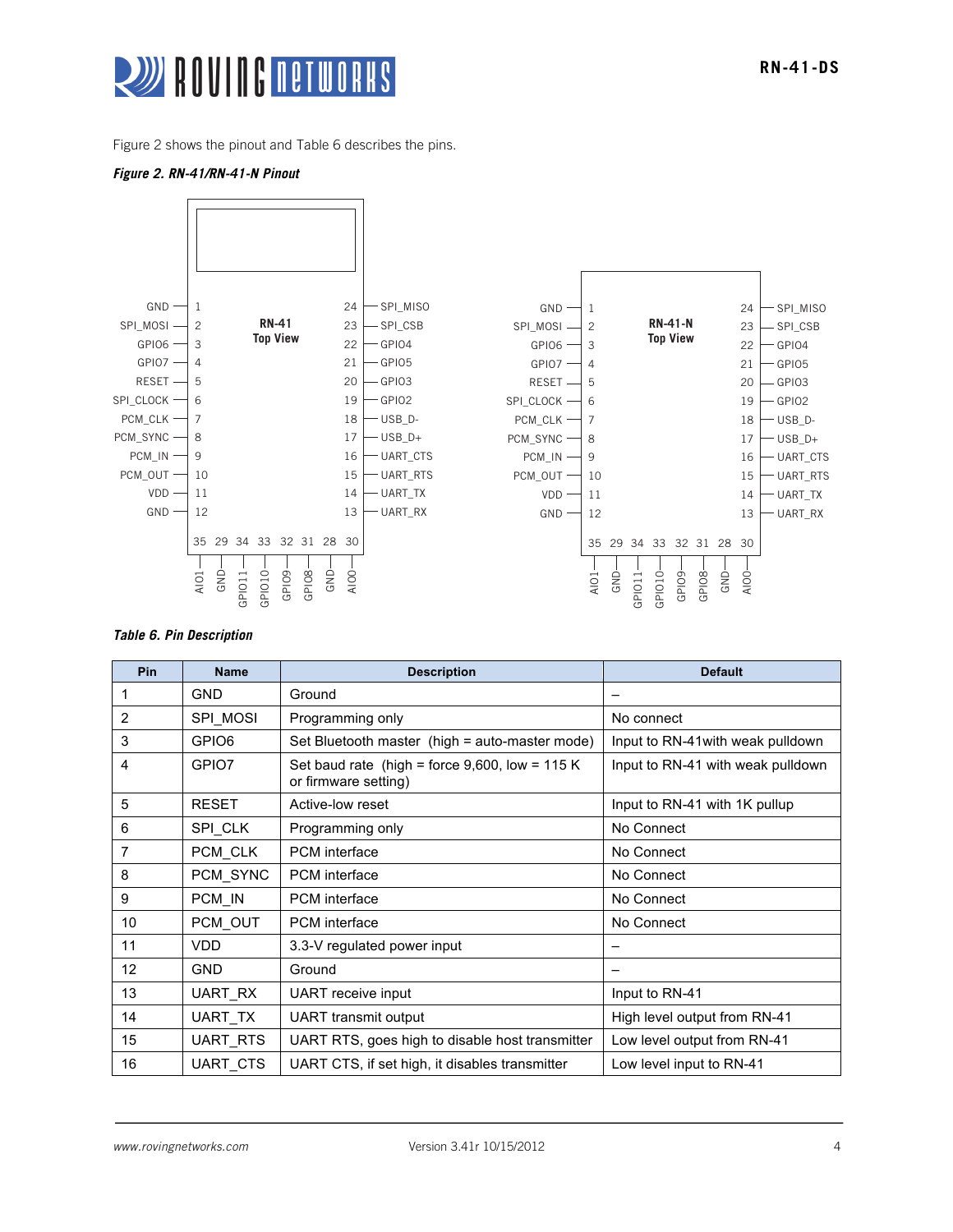

Figure 2 shows the pinout and Table 6 describes the pins.

#### *Figure 2. RN-41/RN-41-N Pinout*



#### *Table 6. Pin Description*

| Pin            | <b>Name</b>       | <b>Description</b>                                                        | <b>Default</b>                    |
|----------------|-------------------|---------------------------------------------------------------------------|-----------------------------------|
| 1              | <b>GND</b>        | Ground                                                                    |                                   |
| 2              | SPI_MOSI          | Programming only                                                          | No connect                        |
| 3              | GPIO <sub>6</sub> | Set Bluetooth master (high = auto-master mode)                            | Input to RN-41 with weak pulldown |
| 4              | GPIO7             | Set baud rate (high = force $9,600$ , low = 115 K<br>or firmware setting) | Input to RN-41 with weak pulldown |
| 5              | <b>RESET</b>      | Active-low reset                                                          | Input to RN-41 with 1K pullup     |
| 6              | SPI CLK           | Programming only                                                          | No Connect                        |
| $\overline{7}$ | PCM CLK           | <b>PCM</b> interface                                                      | No Connect                        |
| 8              | PCM_SYNC          | <b>PCM</b> interface                                                      | No Connect                        |
| 9              | PCM_IN            | <b>PCM</b> interface                                                      | No Connect                        |
| 10             | PCM OUT           | <b>PCM</b> interface                                                      | No Connect                        |
| 11             | <b>VDD</b>        | 3.3-V regulated power input                                               |                                   |
| 12             | <b>GND</b>        | Ground                                                                    |                                   |
| 13             | UART RX           | UART receive input                                                        | Input to RN-41                    |
| 14             | UART_TX           | <b>UART</b> transmit output                                               | High level output from RN-41      |
| 15             | UART_RTS          | UART RTS, goes high to disable host transmitter                           | Low level output from RN-41       |
| 16             | UART CTS          | UART CTS, if set high, it disables transmitter                            | Low level input to RN-41          |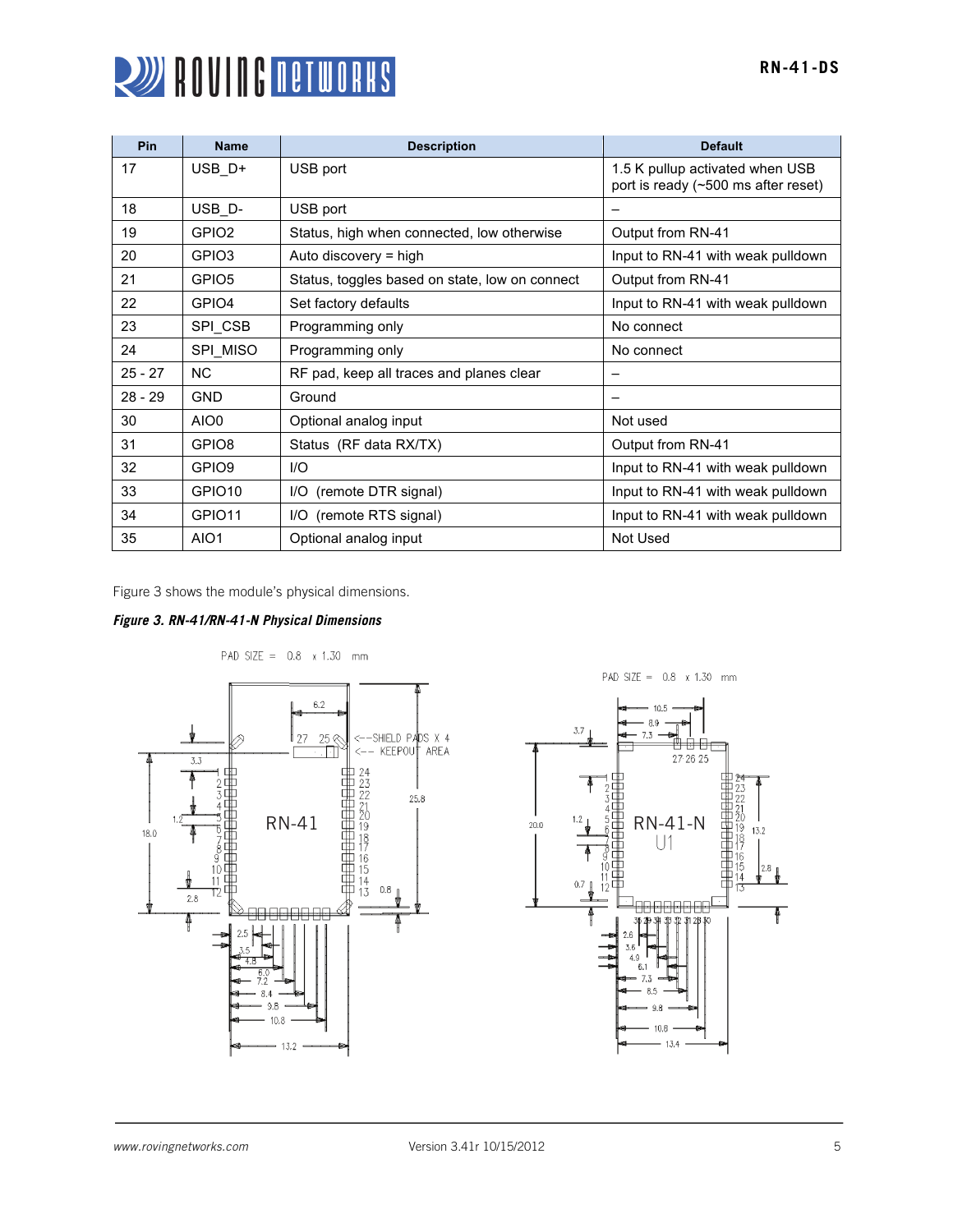

| Pin       | <b>Name</b>        | <b>Description</b>                             | <b>Default</b>                                                         |
|-----------|--------------------|------------------------------------------------|------------------------------------------------------------------------|
| 17        | USB D+             | USB port                                       | 1.5 K pullup activated when USB<br>port is ready (~500 ms after reset) |
| 18        | USB <sub>D</sub> - | USB port                                       |                                                                        |
| 19        | GPIO <sub>2</sub>  | Status, high when connected, low otherwise     | Output from RN-41                                                      |
| 20        | GPIO3              | Auto discovery = high                          | Input to RN-41 with weak pulldown                                      |
| 21        | GPIO <sub>5</sub>  | Status, toggles based on state, low on connect | Output from RN-41                                                      |
| 22        | GPIO4              | Set factory defaults                           | Input to RN-41 with weak pulldown                                      |
| 23        | SPI_CSB            | Programming only                               | No connect                                                             |
| 24        | SPI MISO           | Programming only                               | No connect                                                             |
| $25 - 27$ | <b>NC</b>          | RF pad, keep all traces and planes clear       |                                                                        |
| $28 - 29$ | GND                | Ground                                         |                                                                        |
| 30        | AIO0               | Optional analog input                          | Not used                                                               |
| 31        | GPIO8              | Status (RF data RX/TX)                         | Output from RN-41                                                      |
| 32        | GPIO <sub>9</sub>  | 1/O                                            | Input to RN-41 with weak pulldown                                      |
| 33        | GPIO <sub>10</sub> | I/O (remote DTR signal)                        | Input to RN-41 with weak pulldown                                      |
| 34        | GPIO <sub>11</sub> | I/O (remote RTS signal)                        | Input to RN-41 with weak pulldown                                      |
| 35        | AIO <sub>1</sub>   | Optional analog input                          | Not Used                                                               |

Figure 3 shows the module's physical dimensions.

# *Figure 3. RN-41/RN-41-N Physical Dimensions*



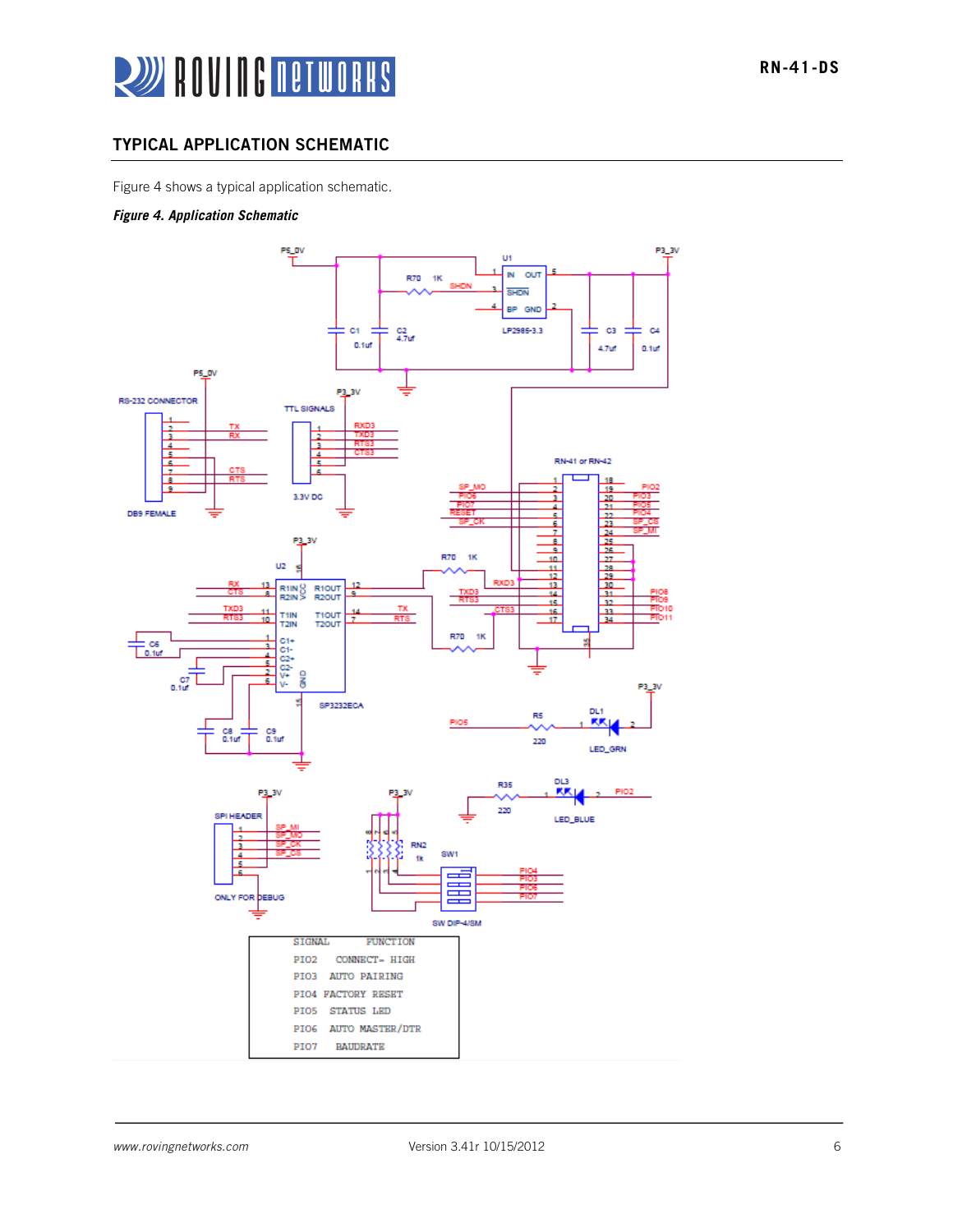

# TYPICAL APPLICATION SCHEMATIC

Figure 4 shows a typical application schematic.

#### *Figure 4. Application Schematic*

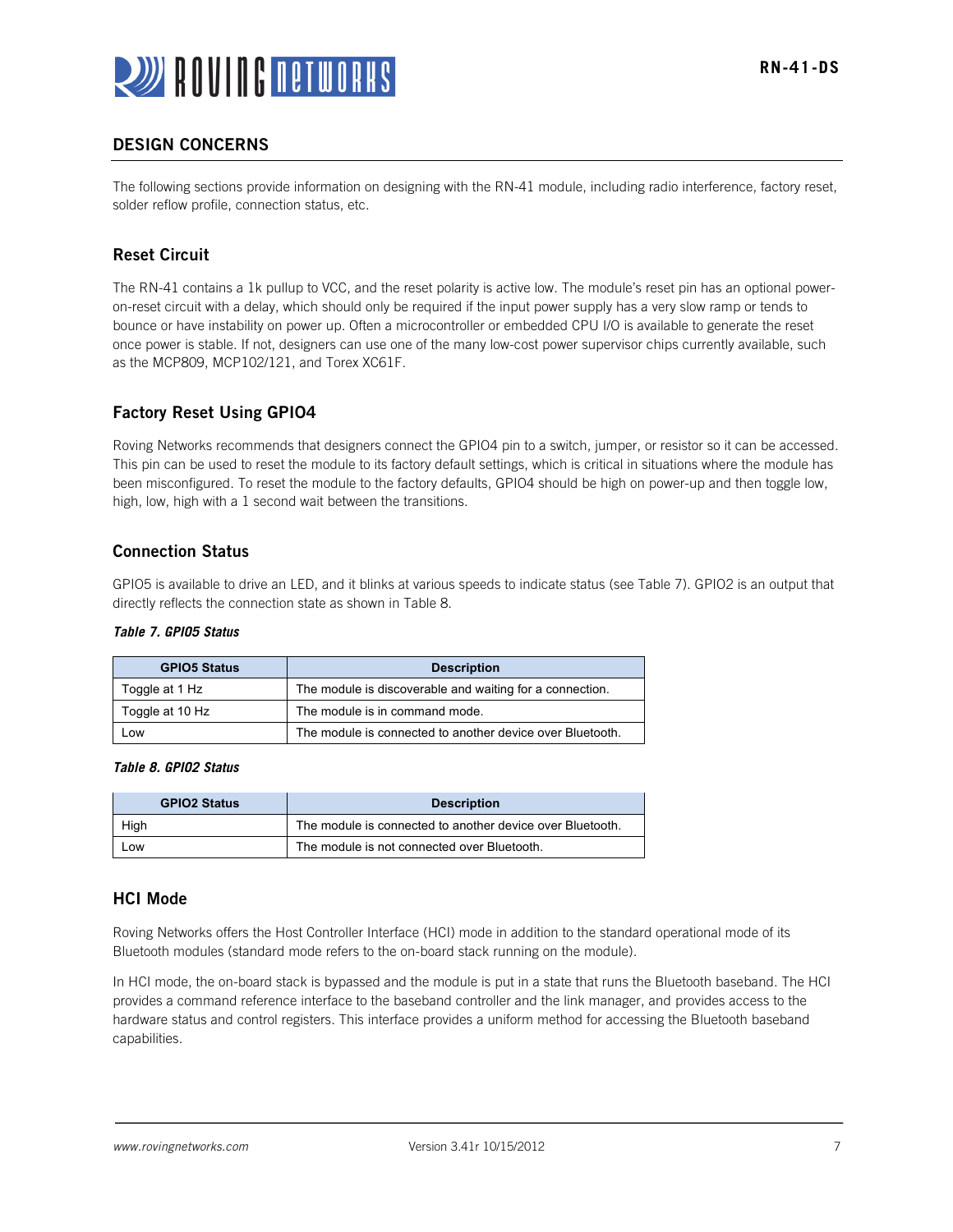

# DESIGN CONCERNS

The following sections provide information on designing with the RN-41 module, including radio interference, factory reset, solder reflow profile, connection status, etc.

# Reset Circuit

The RN-41 contains a 1k pullup to VCC, and the reset polarity is active low. The module's reset pin has an optional poweron-reset circuit with a delay, which should only be required if the input power supply has a very slow ramp or tends to bounce or have instability on power up. Often a microcontroller or embedded CPU I/O is available to generate the reset once power is stable. If not, designers can use one of the many low-cost power supervisor chips currently available, such as the MCP809, MCP102/121, and Torex XC61F.

# Factory Reset Using GPIO4

Roving Networks recommends that designers connect the GPIO4 pin to a switch, jumper, or resistor so it can be accessed. This pin can be used to reset the module to its factory default settings, which is critical in situations where the module has been misconfigured. To reset the module to the factory defaults, GPIO4 should be high on power-up and then toggle low, high, low, high with a 1 second wait between the transitions.

#### Connection Status

GPIO5 is available to drive an LED, and it blinks at various speeds to indicate status (see Table 7). GPIO2 is an output that directly reflects the connection state as shown in Table 8.

#### *Table 7. GPIO5 Status*

| <b>GPIO5 Status</b> | <b>Description</b>                                        |
|---------------------|-----------------------------------------------------------|
| Toggle at 1 Hz      | The module is discoverable and waiting for a connection.  |
| Toggle at 10 Hz     | The module is in command mode.                            |
| Low                 | The module is connected to another device over Bluetooth. |

#### *Table 8. GPIO2 Status*

| <b>GPIO2 Status</b> | <b>Description</b>                                        |
|---------------------|-----------------------------------------------------------|
| High                | The module is connected to another device over Bluetooth. |
| _ow                 | The module is not connected over Bluetooth.               |

#### HCI Mode

Roving Networks offers the Host Controller Interface (HCI) mode in addition to the standard operational mode of its Bluetooth modules (standard mode refers to the on-board stack running on the module).

In HCI mode, the on-board stack is bypassed and the module is put in a state that runs the Bluetooth baseband. The HCI provides a command reference interface to the baseband controller and the link manager, and provides access to the hardware status and control registers. This interface provides a uniform method for accessing the Bluetooth baseband capabilities.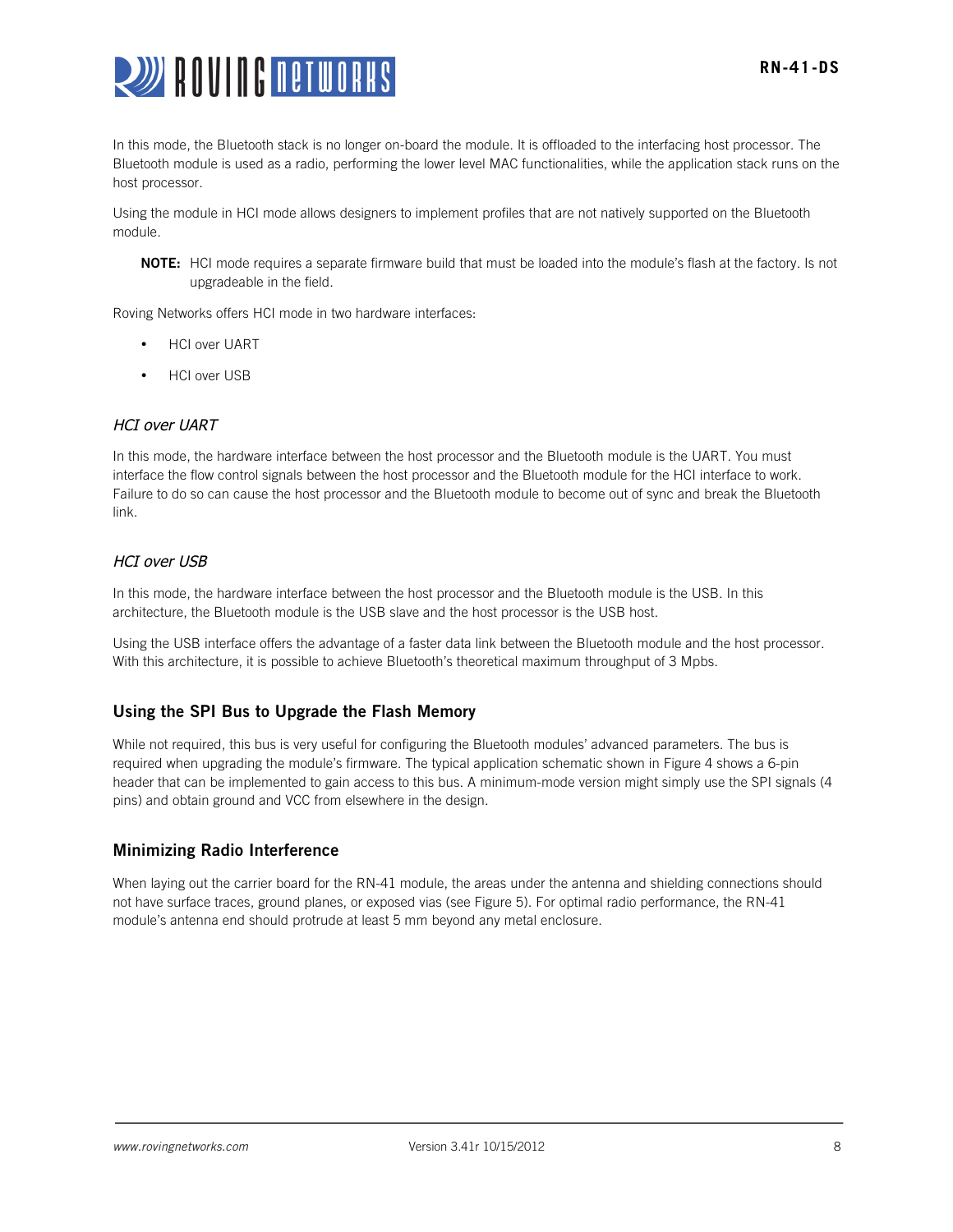

In this mode, the Bluetooth stack is no longer on-board the module. It is offloaded to the interfacing host processor. The Bluetooth module is used as a radio, performing the lower level MAC functionalities, while the application stack runs on the host processor.

Using the module in HCI mode allows designers to implement profiles that are not natively supported on the Bluetooth module.

NOTE: HCI mode requires a separate firmware build that must be loaded into the module's flash at the factory. Is not upgradeable in the field.

Roving Networks offers HCI mode in two hardware interfaces:

- **HCI over UART**
- HCI over USB

#### HCI over UART

In this mode, the hardware interface between the host processor and the Bluetooth module is the UART. You must interface the flow control signals between the host processor and the Bluetooth module for the HCI interface to work. Failure to do so can cause the host processor and the Bluetooth module to become out of sync and break the Bluetooth link.

#### HCI over USB

In this mode, the hardware interface between the host processor and the Bluetooth module is the USB. In this architecture, the Bluetooth module is the USB slave and the host processor is the USB host.

Using the USB interface offers the advantage of a faster data link between the Bluetooth module and the host processor. With this architecture, it is possible to achieve Bluetooth's theoretical maximum throughput of 3 Mpbs.

# Using the SPI Bus to Upgrade the Flash Memory

While not required, this bus is very useful for configuring the Bluetooth modules' advanced parameters. The bus is required when upgrading the module's firmware. The typical application schematic shown in Figure 4 shows a 6-pin header that can be implemented to gain access to this bus. A minimum-mode version might simply use the SPI signals (4 pins) and obtain ground and VCC from elsewhere in the design.

#### Minimizing Radio Interference

When laying out the carrier board for the RN-41 module, the areas under the antenna and shielding connections should not have surface traces, ground planes, or exposed vias (see Figure 5). For optimal radio performance, the RN-41 module's antenna end should protrude at least 5 mm beyond any metal enclosure.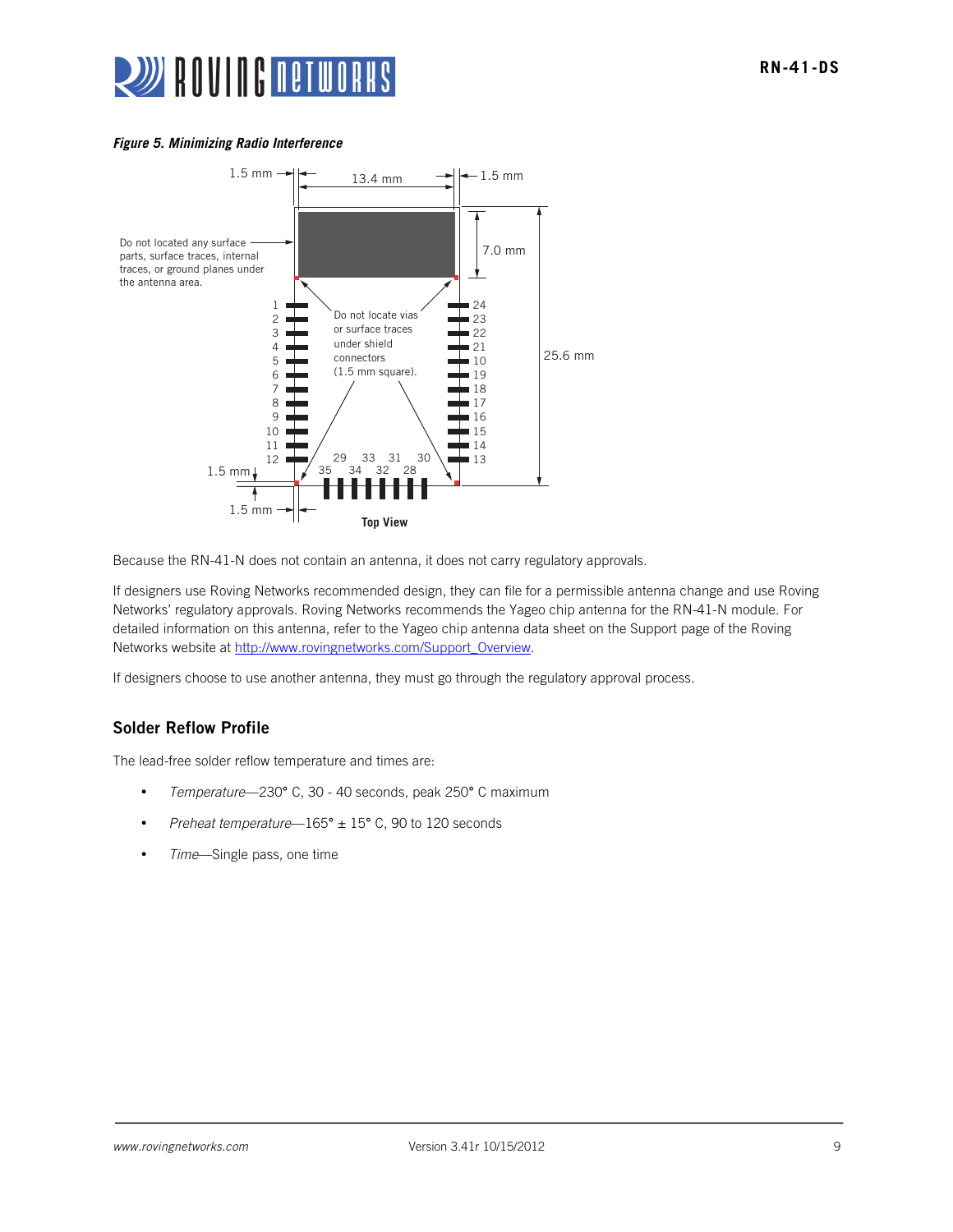# **WE ROUTE BETWORKS**



Because the RN-41-N does not contain an antenna, it does not carry regulatory approvals.

If designers use Roving Networks recommended design, they can file for a permissible antenna change and use Roving Networks' regulatory approvals. Roving Networks recommends the Yageo chip antenna for the RN-41-N module. For detailed information on this antenna, refer to the Yageo chip antenna data sheet on the Support page of the Roving Networks website at http://www.rovingnetworks.com/Support\_Overview.

If designers choose to use another antenna, they must go through the regulatory approval process.

# Solder Reflow Profile

The lead-free solder reflow temperature and times are:

- *Temperature*—230° C, 30 40 seconds, peak 250° C maximum
- *Preheat temperature*—165° ± 15° C, 90 to 120 seconds
- *Time*—Single pass, one time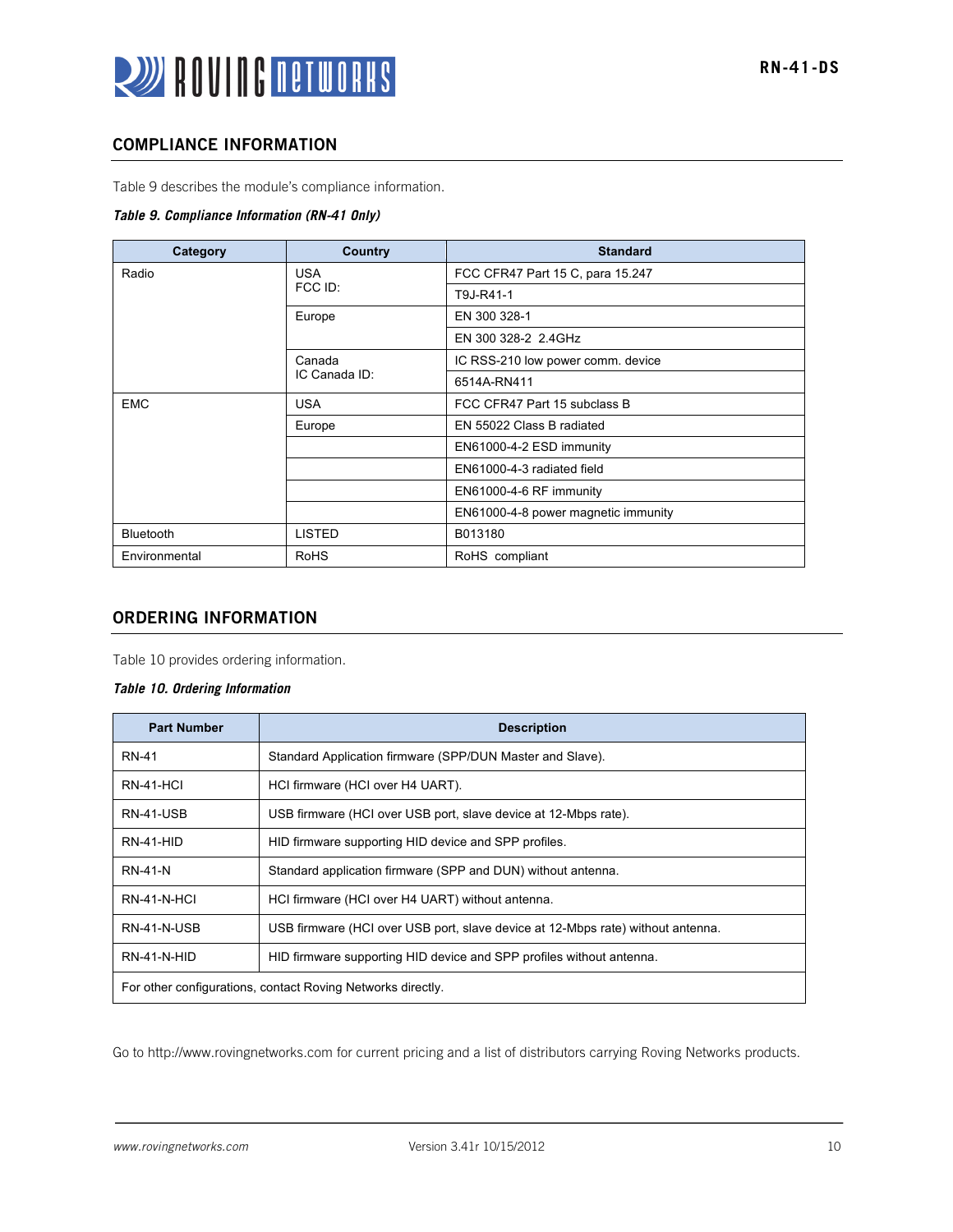# COMPLIANCE INFORMATION

Table 9 describes the module's compliance information.

#### *Table 9. Compliance Information (RN-41 Only)*

| Category         | Country       | <b>Standard</b>                     |  |
|------------------|---------------|-------------------------------------|--|
| Radio            | <b>USA</b>    | FCC CFR47 Part 15 C, para 15.247    |  |
|                  | FCC ID:       | T9J-R41-1                           |  |
|                  | Europe        | EN 300 328-1                        |  |
|                  |               | EN 300 328-2 2.4GHz                 |  |
|                  | Canada        | IC RSS-210 low power comm. device   |  |
|                  | IC Canada ID: | 6514A-RN411                         |  |
| <b>EMC</b>       | <b>USA</b>    | FCC CFR47 Part 15 subclass B        |  |
|                  | Europe        | EN 55022 Class B radiated           |  |
|                  |               | EN61000-4-2 ESD immunity            |  |
|                  |               | EN61000-4-3 radiated field          |  |
|                  |               | EN61000-4-6 RF immunity             |  |
|                  |               | EN61000-4-8 power magnetic immunity |  |
| <b>Bluetooth</b> | <b>LISTED</b> | B013180                             |  |
| Environmental    | <b>RoHS</b>   | RoHS compliant                      |  |

# ORDERING INFORMATION

Table 10 provides ordering information.

#### *Table 10. Ordering Information*

| <b>Part Number</b>                                          | <b>Description</b>                                                              |  |
|-------------------------------------------------------------|---------------------------------------------------------------------------------|--|
| <b>RN-41</b>                                                | Standard Application firmware (SPP/DUN Master and Slave).                       |  |
| RN-41-HCI                                                   | HCI firmware (HCI over H4 UART).                                                |  |
| RN-41-USB                                                   | USB firmware (HCI over USB port, slave device at 12-Mbps rate).                 |  |
| RN-41-HID                                                   | HID firmware supporting HID device and SPP profiles.                            |  |
| <b>RN-41-N</b>                                              | Standard application firmware (SPP and DUN) without antenna.                    |  |
| <b>RN-41-N-HCI</b>                                          | HCI firmware (HCI over H4 UART) without antenna.                                |  |
| RN-41-N-USB                                                 | USB firmware (HCI over USB port, slave device at 12-Mbps rate) without antenna. |  |
| RN-41-N-HID                                                 | HID firmware supporting HID device and SPP profiles without antenna.            |  |
| For other configurations, contact Roving Networks directly. |                                                                                 |  |

Go to http://www.rovingnetworks.com for current pricing and a list of distributors carrying Roving Networks products.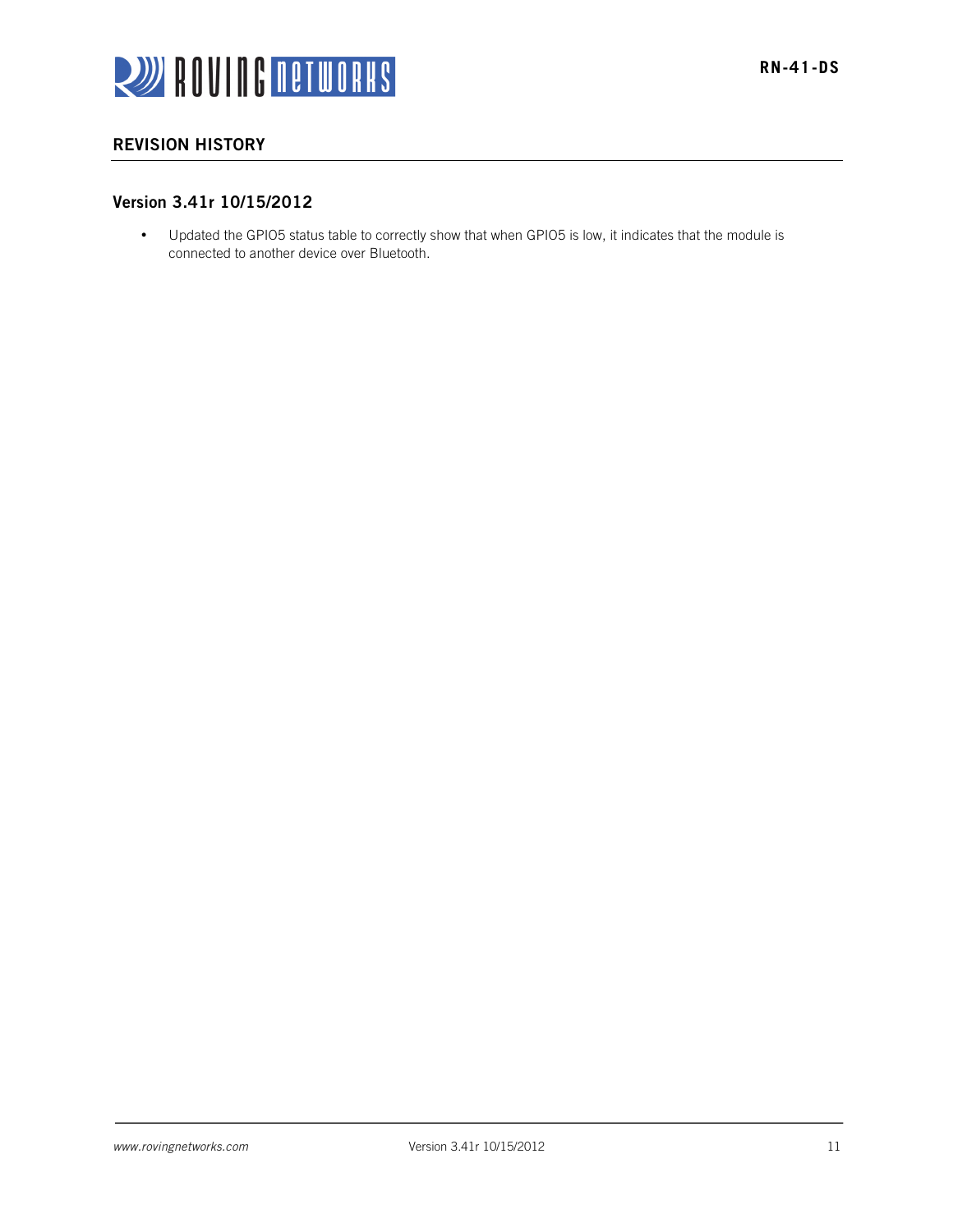

# REVISION HISTORY

# Version 3.41r 10/15/2012

• Updated the GPIO5 status table to correctly show that when GPIO5 is low, it indicates that the module is connected to another device over Bluetooth.